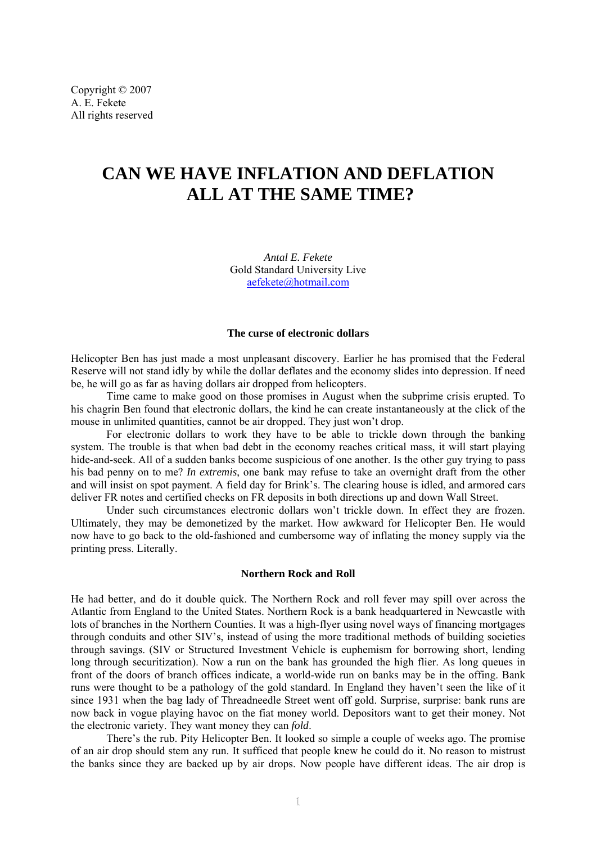# **CAN WE HAVE INFLATION AND DEFLATION ALL AT THE SAME TIME?**

*Antal E. Fekete* Gold Standard University Live [aefekete@hotmail.com](mailto:aefekete@hotmail.com) 

#### **The curse of electronic dollars**

Helicopter Ben has just made a most unpleasant discovery. Earlier he has promised that the Federal Reserve will not stand idly by while the dollar deflates and the economy slides into depression. If need be, he will go as far as having dollars air dropped from helicopters.

 Time came to make good on those promises in August when the subprime crisis erupted. To his chagrin Ben found that electronic dollars, the kind he can create instantaneously at the click of the mouse in unlimited quantities, cannot be air dropped. They just won't drop.

 For electronic dollars to work they have to be able to trickle down through the banking system. The trouble is that when bad debt in the economy reaches critical mass, it will start playing hide-and-seek. All of a sudden banks become suspicious of one another. Is the other guy trying to pass his bad penny on to me? *In extremis*, one bank may refuse to take an overnight draft from the other and will insist on spot payment. A field day for Brink's. The clearing house is idled, and armored cars deliver FR notes and certified checks on FR deposits in both directions up and down Wall Street.

 Under such circumstances electronic dollars won't trickle down. In effect they are frozen. Ultimately, they may be demonetized by the market. How awkward for Helicopter Ben. He would now have to go back to the old-fashioned and cumbersome way of inflating the money supply via the printing press. Literally.

#### **Northern Rock and Roll**

He had better, and do it double quick. The Northern Rock and roll fever may spill over across the Atlantic from England to the United States. Northern Rock is a bank headquartered in Newcastle with lots of branches in the Northern Counties. It was a high-flyer using novel ways of financing mortgages through conduits and other SIV's, instead of using the more traditional methods of building societies through savings. (SIV or Structured Investment Vehicle is euphemism for borrowing short, lending long through securitization). Now a run on the bank has grounded the high flier. As long queues in front of the doors of branch offices indicate, a world-wide run on banks may be in the offing. Bank runs were thought to be a pathology of the gold standard. In England they haven't seen the like of it since 1931 when the bag lady of Threadneedle Street went off gold. Surprise, surprise: bank runs are now back in vogue playing havoc on the fiat money world. Depositors want to get their money. Not the electronic variety. They want money they can *fold*.

 There's the rub. Pity Helicopter Ben. It looked so simple a couple of weeks ago. The promise of an air drop should stem any run. It sufficed that people knew he could do it. No reason to mistrust the banks since they are backed up by air drops. Now people have different ideas. The air drop is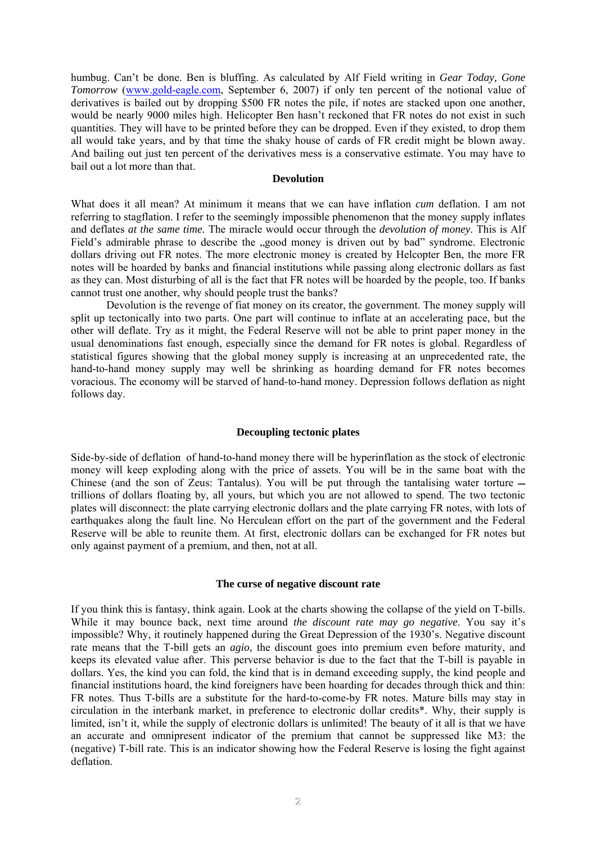humbug. Can't be done. Ben is bluffing. As calculated by Alf Field writing in *Gear Today, Gone Tomorrow* ([www.gold-eagle.com](http://www.gold-eagle.com/), September 6, 2007) if only ten percent of the notional value of derivatives is bailed out by dropping \$500 FR notes the pile, if notes are stacked upon one another, would be nearly 9000 miles high. Helicopter Ben hasn't reckoned that FR notes do not exist in such quantities. They will have to be printed before they can be dropped. Even if they existed, to drop them all would take years, and by that time the shaky house of cards of FR credit might be blown away. And bailing out just ten percent of the derivatives mess is a conservative estimate. You may have to bail out a lot more than that.

#### **Devolution**

What does it all mean? At minimum it means that we can have inflation *cum* deflation. I am not referring to stagflation. I refer to the seemingly impossible phenomenon that the money supply inflates and deflates *at the same time.* The miracle would occur through the *devolution of money*. This is Alf Field's admirable phrase to describe the "good money is driven out by bad" syndrome. Electronic dollars driving out FR notes. The more electronic money is created by Helcopter Ben, the more FR notes will be hoarded by banks and financial institutions while passing along electronic dollars as fast as they can. Most disturbing of all is the fact that FR notes will be hoarded by the people, too. If banks cannot trust one another, why should people trust the banks?

 Devolution is the revenge of fiat money on its creator, the government. The money supply will split up tectonically into two parts. One part will continue to inflate at an accelerating pace, but the other will deflate. Try as it might, the Federal Reserve will not be able to print paper money in the usual denominations fast enough, especially since the demand for FR notes is global. Regardless of statistical figures showing that the global money supply is increasing at an unprecedented rate, the hand-to-hand money supply may well be shrinking as hoarding demand for FR notes becomes voracious. The economy will be starved of hand-to-hand money. Depression follows deflation as night follows day.

### **Decoupling tectonic plates**

Side-by-side of deflation of hand-to-hand money there will be hyperinflation as the stock of electronic money will keep exploding along with the price of assets. You will be in the same boat with the Chinese (and the son of Zeus: Tantalus). You will be put through the tantalising water torture  $$ trillions of dollars floating by, all yours, but which you are not allowed to spend. The two tectonic plates will disconnect: the plate carrying electronic dollars and the plate carrying FR notes, with lots of earthquakes along the fault line. No Herculean effort on the part of the government and the Federal Reserve will be able to reunite them. At first, electronic dollars can be exchanged for FR notes but only against payment of a premium, and then, not at all.

#### **The curse of negative discount rate**

If you think this is fantasy, think again. Look at the charts showing the collapse of the yield on T-bills. While it may bounce back, next time around *the discount rate may go negative*. You say it's impossible? Why, it routinely happened during the Great Depression of the 1930's. Negative discount rate means that the T-bill gets an *agio*, the discount goes into premium even before maturity, and keeps its elevated value after. This perverse behavior is due to the fact that the T-bill is payable in dollars. Yes, the kind you can fold, the kind that is in demand exceeding supply, the kind people and financial institutions hoard, the kind foreigners have been hoarding for decades through thick and thin: FR notes. Thus T-bills are a substitute for the hard-to-come-by FR notes. Mature bills may stay in circulation in the interbank market, in preference to electronic dollar credits\*. Why, their supply is limited, isn't it, while the supply of electronic dollars is unlimited! The beauty of it all is that we have an accurate and omnipresent indicator of the premium that cannot be suppressed like M3: the (negative) T-bill rate. This is an indicator showing how the Federal Reserve is losing the fight against deflation.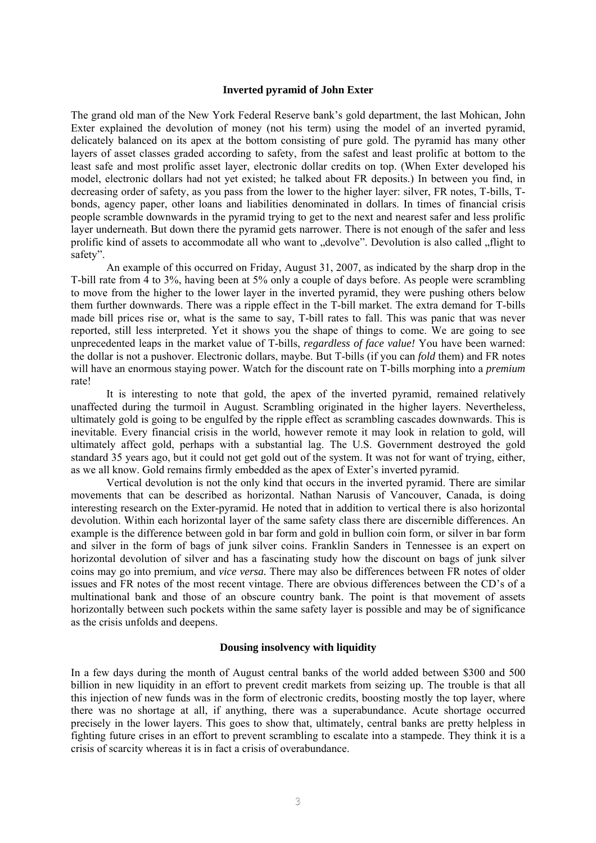#### **Inverted pyramid of John Exter**

The grand old man of the New York Federal Reserve bank's gold department, the last Mohican, John Exter explained the devolution of money (not his term) using the model of an inverted pyramid, delicately balanced on its apex at the bottom consisting of pure gold. The pyramid has many other layers of asset classes graded according to safety, from the safest and least prolific at bottom to the least safe and most prolific asset layer, electronic dollar credits on top. (When Exter developed his model, electronic dollars had not yet existed; he talked about FR deposits.) In between you find, in decreasing order of safety, as you pass from the lower to the higher layer: silver, FR notes, T-bills, Tbonds, agency paper, other loans and liabilities denominated in dollars. In times of financial crisis people scramble downwards in the pyramid trying to get to the next and nearest safer and less prolific layer underneath. But down there the pyramid gets narrower. There is not enough of the safer and less prolific kind of assets to accommodate all who want to "devolve". Devolution is also called "flight to safety".

 An example of this occurred on Friday, August 31, 2007, as indicated by the sharp drop in the T-bill rate from 4 to 3%, having been at 5% only a couple of days before. As people were scrambling to move from the higher to the lower layer in the inverted pyramid, they were pushing others below them further downwards. There was a ripple effect in the T-bill market. The extra demand for T-bills made bill prices rise or, what is the same to say, T-bill rates to fall. This was panic that was never reported, still less interpreted. Yet it shows you the shape of things to come. We are going to see unprecedented leaps in the market value of T-bills, *regardless of face value!* You have been warned: the dollar is not a pushover. Electronic dollars, maybe. But T-bills (if you can *fold* them) and FR notes will have an enormous staying power. Watch for the discount rate on T-bills morphing into a *premium*  rate!

 It is interesting to note that gold, the apex of the inverted pyramid, remained relatively unaffected during the turmoil in August. Scrambling originated in the higher layers. Nevertheless, ultimately gold is going to be engulfed by the ripple effect as scrambling cascades downwards. This is inevitable. Every financial crisis in the world, however remote it may look in relation to gold, will ultimately affect gold, perhaps with a substantial lag. The U.S. Government destroyed the gold standard 35 years ago, but it could not get gold out of the system. It was not for want of trying, either, as we all know. Gold remains firmly embedded as the apex of Exter's inverted pyramid.

 Vertical devolution is not the only kind that occurs in the inverted pyramid. There are similar movements that can be described as horizontal. Nathan Narusis of Vancouver, Canada, is doing interesting research on the Exter-pyramid. He noted that in addition to vertical there is also horizontal devolution. Within each horizontal layer of the same safety class there are discernible differences. An example is the difference between gold in bar form and gold in bullion coin form, or silver in bar form and silver in the form of bags of junk silver coins. Franklin Sanders in Tennessee is an expert on horizontal devolution of silver and has a fascinating study how the discount on bags of junk silver coins may go into premium, and *vice versa.* There may also be differences between FR notes of older issues and FR notes of the most recent vintage. There are obvious differences between the CD's of a multinational bank and those of an obscure country bank. The point is that movement of assets horizontally between such pockets within the same safety layer is possible and may be of significance as the crisis unfolds and deepens.

## **Dousing insolvency with liquidity**

In a few days during the month of August central banks of the world added between \$300 and 500 billion in new liquidity in an effort to prevent credit markets from seizing up. The trouble is that all this injection of new funds was in the form of electronic credits, boosting mostly the top layer, where there was no shortage at all, if anything, there was a superabundance. Acute shortage occurred precisely in the lower layers. This goes to show that, ultimately, central banks are pretty helpless in fighting future crises in an effort to prevent scrambling to escalate into a stampede. They think it is a crisis of scarcity whereas it is in fact a crisis of overabundance.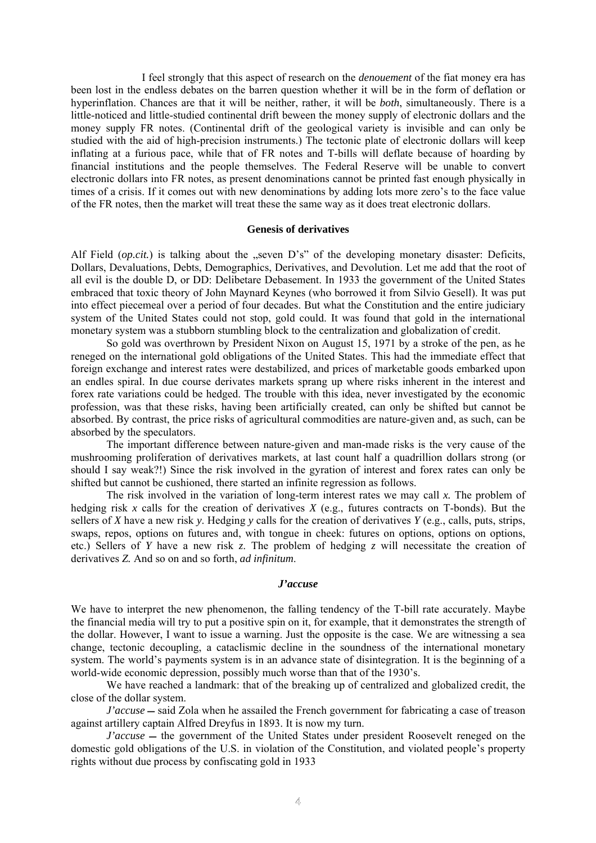I feel strongly that this aspect of research on the *denouement* of the fiat money era has been lost in the endless debates on the barren question whether it will be in the form of deflation or hyperinflation. Chances are that it will be neither, rather, it will be *both*, simultaneously. There is a little-noticed and little-studied continental drift beween the money supply of electronic dollars and the money supply FR notes. (Continental drift of the geological variety is invisible and can only be studied with the aid of high-precision instruments.) The tectonic plate of electronic dollars will keep inflating at a furious pace, while that of FR notes and T-bills will deflate because of hoarding by financial institutions and the people themselves. The Federal Reserve will be unable to convert electronic dollars into FR notes, as present denominations cannot be printed fast enough physically in times of a crisis. If it comes out with new denominations by adding lots more zero's to the face value of the FR notes, then the market will treat these the same way as it does treat electronic dollars.

#### **Genesis of derivatives**

Alf Field (*op.cit.*) is talking about the "seven D's" of the developing monetary disaster: Deficits, Dollars, Devaluations, Debts, Demographics, Derivatives, and Devolution. Let me add that the root of all evil is the double D, or DD: Delibetare Debasement. In 1933 the government of the United States embraced that toxic theory of John Maynard Keynes (who borrowed it from Silvio Gesell). It was put into effect piecemeal over a period of four decades. But what the Constitution and the entire judiciary system of the United States could not stop, gold could. It was found that gold in the international monetary system was a stubborn stumbling block to the centralization and globalization of credit.

 So gold was overthrown by President Nixon on August 15, 1971 by a stroke of the pen, as he reneged on the international gold obligations of the United States. This had the immediate effect that foreign exchange and interest rates were destabilized, and prices of marketable goods embarked upon an endles spiral. In due course derivates markets sprang up where risks inherent in the interest and forex rate variations could be hedged. The trouble with this idea, never investigated by the economic profession, was that these risks, having been artificially created, can only be shifted but cannot be absorbed. By contrast, the price risks of agricultural commodities are nature-given and, as such, can be absorbed by the speculators.

 The important difference between nature-given and man-made risks is the very cause of the mushrooming proliferation of derivatives markets, at last count half a quadrillion dollars strong (or should I say weak?!) Since the risk involved in the gyration of interest and forex rates can only be shifted but cannot be cushioned, there started an infinite regression as follows.

 The risk involved in the variation of long-term interest rates we may call *x.* The problem of hedging risk *x* calls for the creation of derivatives *X* (e.g., futures contracts on T-bonds). But the sellers of *X* have a new risk *y*. Hedging *y* calls for the creation of derivatives *Y* (e.g., calls, puts, strips, swaps, repos, options on futures and, with tongue in cheek: futures on options, options on options, etc.) Sellers of *Y* have a new risk *z*. The problem of hedging *z* will necessitate the creation of derivatives *Z.* And so on and so forth, *ad infinitum*.

#### *J'accuse*

We have to interpret the new phenomenon, the falling tendency of the T-bill rate accurately. Maybe the financial media will try to put a positive spin on it, for example, that it demonstrates the strength of the dollar. However, I want to issue a warning. Just the opposite is the case. We are witnessing a sea change, tectonic decoupling, a cataclismic decline in the soundness of the international monetary system. The world's payments system is in an advance state of disintegration. It is the beginning of a world-wide economic depression, possibly much worse than that of the 1930's.

We have reached a landmark: that of the breaking up of centralized and globalized credit, the close of the dollar system.

*J'accuse* – said Zola when he assailed the French government for fabricating a case of treason against artillery captain Alfred Dreyfus in 1893. It is now my turn.

*J'accuse* – the government of the United States under president Roosevelt reneged on the domestic gold obligations of the U.S. in violation of the Constitution, and violated people's property rights without due process by confiscating gold in 1933